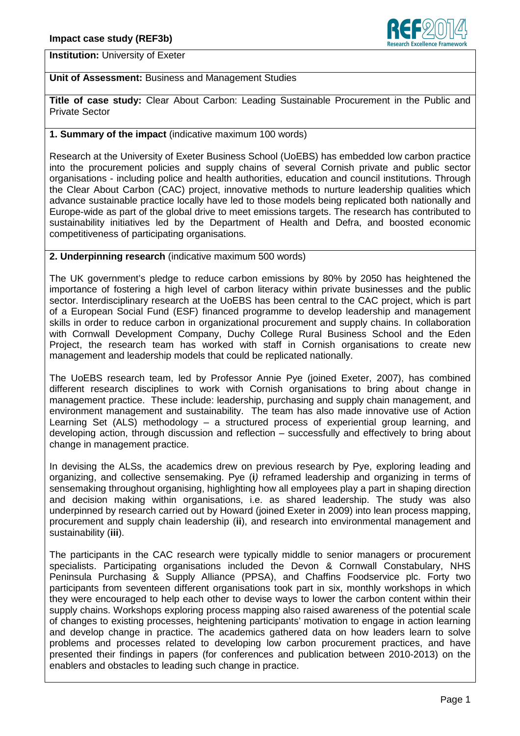

**Institution:** University of Exeter

# **Unit of Assessment:** Business and Management Studies

**Title of case study:** Clear About Carbon: Leading Sustainable Procurement in the Public and Private Sector

## **1. Summary of the impact** (indicative maximum 100 words)

Research at the University of Exeter Business School (UoEBS) has embedded low carbon practice into the procurement policies and supply chains of several Cornish private and public sector organisations - including police and health authorities, education and council institutions. Through the Clear About Carbon (CAC) project, innovative methods to nurture leadership qualities which advance sustainable practice locally have led to those models being replicated both nationally and Europe-wide as part of the global drive to meet emissions targets. The research has contributed to sustainability initiatives led by the Department of Health and Defra, and boosted economic competitiveness of participating organisations.

## **2. Underpinning research** (indicative maximum 500 words)

The UK government's pledge to reduce carbon emissions by 80% by 2050 has heightened the importance of fostering a high level of carbon literacy within private businesses and the public sector. Interdisciplinary research at the UoEBS has been central to the CAC project, which is part of a European Social Fund (ESF) financed programme to develop leadership and management skills in order to reduce carbon in organizational procurement and supply chains. In collaboration with Cornwall Development Company, Duchy College Rural Business School and the Eden Project, the research team has worked with staff in Cornish organisations to create new management and leadership models that could be replicated nationally.

The UoEBS research team, led by Professor Annie Pye (joined Exeter, 2007), has combined different research disciplines to work with Cornish organisations to bring about change in management practice. These include: leadership, purchasing and supply chain management, and environment management and sustainability. The team has also made innovative use of Action Learning Set (ALS) methodology – a structured process of experiential group learning, and developing action, through discussion and reflection – successfully and effectively to bring about change in management practice.

In devising the ALSs, the academics drew on previous research by Pye, exploring leading and organizing, and collective sensemaking. Pye (**i**) reframed leadership and organizing in terms of sensemaking throughout organising, highlighting how all employees play a part in shaping direction and decision making within organisations, i.e. as shared leadership. The study was also underpinned by research carried out by Howard (joined Exeter in 2009) into lean process mapping, procurement and supply chain leadership (**ii**), and research into environmental management and sustainability (**iii**).

The participants in the CAC research were typically middle to senior managers or procurement specialists. Participating organisations included the Devon & Cornwall Constabulary, NHS Peninsula Purchasing & Supply Alliance (PPSA), and Chaffins Foodservice plc. Forty two participants from seventeen different organisations took part in six, monthly workshops in which they were encouraged to help each other to devise ways to lower the carbon content within their supply chains. Workshops exploring process mapping also raised awareness of the potential scale of changes to existing processes, heightening participants' motivation to engage in action learning and develop change in practice. The academics gathered data on how leaders learn to solve problems and processes related to developing low carbon procurement practices, and have presented their findings in papers (for conferences and publication between 2010-2013) on the enablers and obstacles to leading such change in practice.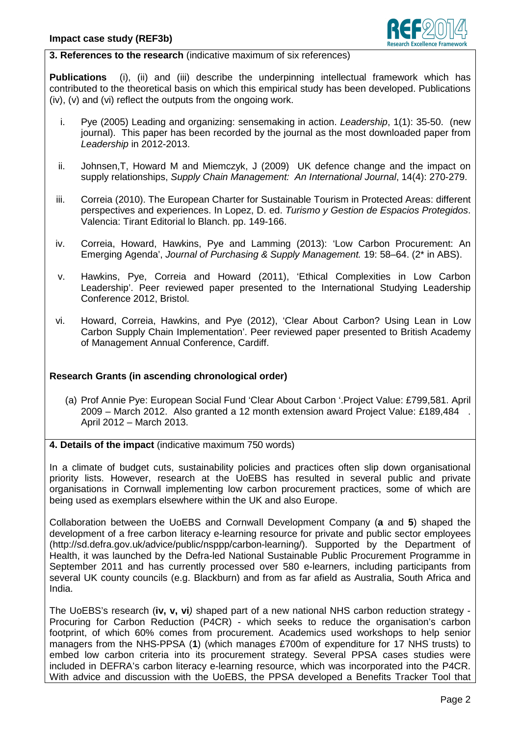

**3. References to the research** (indicative maximum of six references)

**Publications** (i), (ii) and (iii) describe the underpinning intellectual framework which has contributed to the theoretical basis on which this empirical study has been developed. Publications (iv), (v) and (vi) reflect the outputs from the ongoing work.

- i. Pye (2005) Leading and organizing: sensemaking in action. Leadership, 1(1): 35-50. (new journal). This paper has been recorded by the journal as the most downloaded paper from Leadership in 2012-2013.
- ii. Johnsen,T, Howard M and Miemczyk, J (2009) UK defence change and the impact on supply relationships, Supply Chain Management: An International Journal, 14(4): 270-279.
- iii. Correia (2010). The European Charter for Sustainable Tourism in Protected Areas: different perspectives and experiences. In Lopez, D. ed. Turismo y Gestion de Espacios Protegidos. Valencia: Tirant Editorial lo Blanch. pp. 149-166.
- iv. Correia, Howard, Hawkins, Pye and Lamming (2013): 'Low Carbon Procurement: An Emerging Agenda', Journal of Purchasing & Supply Management. 19: 58–64. (2\* in ABS).
- v. Hawkins, Pye, Correia and Howard (2011), 'Ethical Complexities in Low Carbon Leadership'. Peer reviewed paper presented to the International Studying Leadership Conference 2012, Bristol.
- vi. Howard, Correia, Hawkins, and Pye (2012), 'Clear About Carbon? Using Lean in Low Carbon Supply Chain Implementation'. Peer reviewed paper presented to British Academy of Management Annual Conference, Cardiff.

### **Research Grants (in ascending chronological order)**

(a) Prof Annie Pye: European Social Fund 'Clear About Carbon '.Project Value: £799,581. April 2009 – March 2012. Also granted a 12 month extension award Project Value: £189,484 . April 2012 – March 2013.

## **4. Details of the impact** (indicative maximum 750 words)

In a climate of budget cuts, sustainability policies and practices often slip down organisational priority lists. However, research at the UoEBS has resulted in several public and private organisations in Cornwall implementing low carbon procurement practices, some of which are being used as exemplars elsewhere within the UK and also Europe.

Collaboration between the UoEBS and Cornwall Development Company (**a** and **5**) shaped the development of a free carbon literacy e-learning resource for private and public sector employees (http://sd.defra.gov.uk/advice/public/nsppp/carbon-learning/). Supported by the Department of Health, it was launched by the Defra-led National Sustainable Public Procurement Programme in September 2011 and has currently processed over 580 e-learners, including participants from several UK county councils (e.g. Blackburn) and from as far afield as Australia, South Africa and India.

The UoEBS's research (**iv, v, vi**) shaped part of a new national NHS carbon reduction strategy - Procuring for Carbon Reduction (P4CR) - which seeks to reduce the organisation's carbon footprint, of which 60% comes from procurement. Academics used workshops to help senior managers from the NHS-PPSA (**1**) (which manages £700m of expenditure for 17 NHS trusts) to embed low carbon criteria into its procurement strategy. Several PPSA cases studies were included in DEFRA's carbon literacy e-learning resource, which was incorporated into the P4CR. With advice and discussion with the UoEBS, the PPSA developed a Benefits Tracker Tool that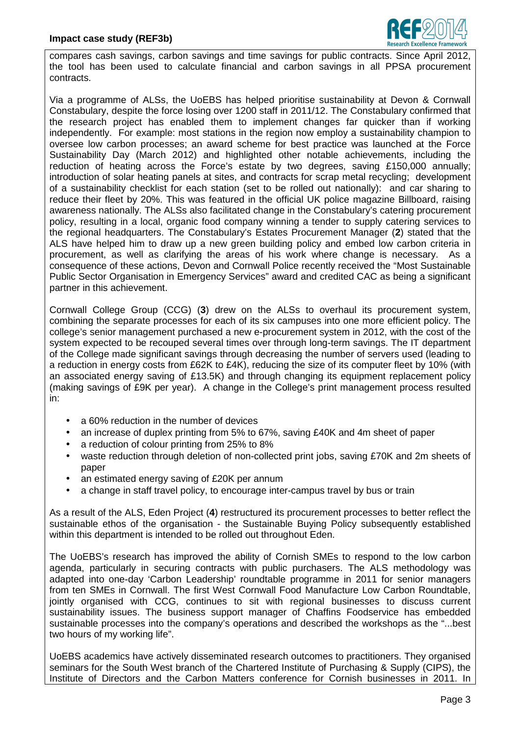

compares cash savings, carbon savings and time savings for public contracts. Since April 2012, the tool has been used to calculate financial and carbon savings in all PPSA procurement contracts.

Via a programme of ALSs, the UoEBS has helped prioritise sustainability at Devon & Cornwall Constabulary, despite the force losing over 1200 staff in 2011/12. The Constabulary confirmed that the research project has enabled them to implement changes far quicker than if working independently. For example: most stations in the region now employ a sustainability champion to oversee low carbon processes; an award scheme for best practice was launched at the Force Sustainability Day (March 2012) and highlighted other notable achievements, including the reduction of heating across the Force's estate by two degrees, saving £150,000 annually; introduction of solar heating panels at sites, and contracts for scrap metal recycling; development of a sustainability checklist for each station (set to be rolled out nationally): and car sharing to reduce their fleet by 20%. This was featured in the official UK police magazine Billboard, raising awareness nationally. The ALSs also facilitated change in the Constabulary's catering procurement policy, resulting in a local, organic food company winning a tender to supply catering services to the regional headquarters. The Constabulary's Estates Procurement Manager (**2**) stated that the ALS have helped him to draw up a new green building policy and embed low carbon criteria in procurement, as well as clarifying the areas of his work where change is necessary. As a consequence of these actions, Devon and Cornwall Police recently received the "Most Sustainable Public Sector Organisation in Emergency Services" award and credited CAC as being a significant partner in this achievement.

Cornwall College Group (CCG) (**3**) drew on the ALSs to overhaul its procurement system, combining the separate processes for each of its six campuses into one more efficient policy. The college's senior management purchased a new e-procurement system in 2012, with the cost of the system expected to be recouped several times over through long-term savings. The IT department of the College made significant savings through decreasing the number of servers used (leading to a reduction in energy costs from £62K to £4K), reducing the size of its computer fleet by 10% (with an associated energy saving of £13.5K) and through changing its equipment replacement policy (making savings of £9K per year). A change in the College's print management process resulted in:

- a 60% reduction in the number of devices
- an increase of duplex printing from 5% to 67%, saving £40K and 4m sheet of paper
- a reduction of colour printing from 25% to 8%
- waste reduction through deletion of non-collected print jobs, saving £70K and 2m sheets of paper
- an estimated energy saving of £20K per annum
- a change in staff travel policy, to encourage inter-campus travel by bus or train

As a result of the ALS, Eden Project (**4**) restructured its procurement processes to better reflect the sustainable ethos of the organisation - the Sustainable Buying Policy subsequently established within this department is intended to be rolled out throughout Eden.

The UoEBS's research has improved the ability of Cornish SMEs to respond to the low carbon agenda, particularly in securing contracts with public purchasers. The ALS methodology was adapted into one-day 'Carbon Leadership' roundtable programme in 2011 for senior managers from ten SMEs in Cornwall. The first West Cornwall Food Manufacture Low Carbon Roundtable, jointly organised with CCG, continues to sit with regional businesses to discuss current sustainability issues. The business support manager of Chaffins Foodservice has embedded sustainable processes into the company's operations and described the workshops as the "...best two hours of my working life".

UoEBS academics have actively disseminated research outcomes to practitioners. They organised seminars for the South West branch of the Chartered Institute of Purchasing & Supply (CIPS), the Institute of Directors and the Carbon Matters conference for Cornish businesses in 2011. In